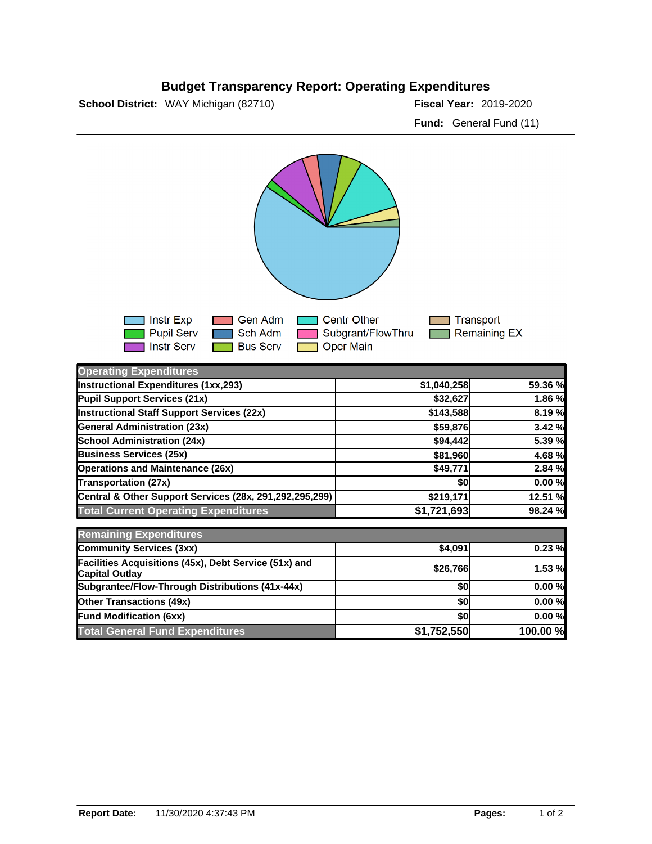## **Budget Transparency Report: Operating Expenditures**

**School District:** WAY Michigan (82710)

Fiscal Year: 2019-2020 **Fund:** General Fund (11)



| <b>Operating Expenditures</b>                                                  |             |          |
|--------------------------------------------------------------------------------|-------------|----------|
| <b>Instructional Expenditures (1xx,293)</b>                                    | \$1,040,258 | 59.36 %  |
| Pupil Support Services (21x)                                                   | \$32,627    | 1.86 %   |
| <b>Instructional Staff Support Services (22x)</b>                              | \$143,588   | 8.19 %   |
| <b>General Administration (23x)</b>                                            | \$59,876    | 3.42 %   |
| <b>School Administration (24x)</b>                                             | \$94,442    | 5.39 %   |
| <b>Business Services (25x)</b>                                                 | \$81,960    | 4.68 %   |
| <b>Operations and Maintenance (26x)</b>                                        | \$49,771    | 2.84 %   |
| <b>Transportation (27x)</b>                                                    | \$0         | 0.00%    |
| Central & Other Support Services (28x, 291,292,295,299)                        | \$219,171   | 12.51 %  |
| <b>Total Current Operating Expenditures</b>                                    | \$1,721,693 | 98.24 %  |
| <b>Remaining Expenditures</b>                                                  |             |          |
| <b>Community Services (3xx)</b>                                                | \$4,091     | 0.23%    |
| Facilities Acquisitions (45x), Debt Service (51x) and<br><b>Capital Outlay</b> | \$26,766    | 1.53 %   |
| Subgrantee/Flow-Through Distributions (41x-44x)                                | \$0         | 0.00%    |
| <b>Other Transactions (49x)</b>                                                | \$0         | 0.00%    |
| <b>Fund Modification (6xx)</b>                                                 | \$0         | 0.00%    |
| <b>Total General Fund Expenditures</b>                                         | \$1,752,550 | 100.00 % |